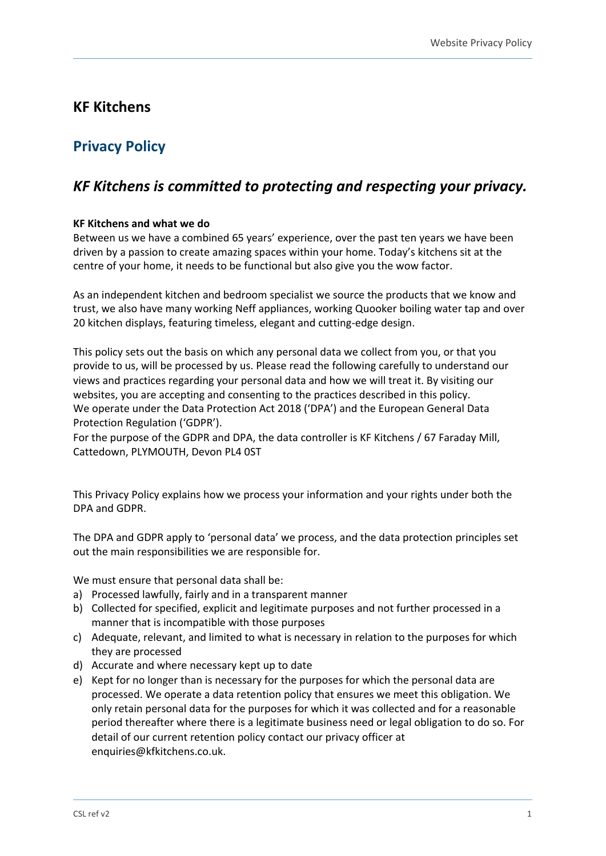# **KF Kitchens**

# **Privacy Policy**

# *KF Kitchens is committed to protecting and respecting your privacy.*

# **KF Kitchens and what we do**

Between us we have a combined 65 years' experience, over the past ten years we have been driven by a passion to create amazing spaces within your home. Today's kitchens sit at the centre of your home, it needs to be functional but also give you the wow factor.

As an independent kitchen and bedroom specialist we source the products that we know and trust, we also have many working Neff appliances, working Quooker boiling water tap and over 20 kitchen displays, featuring timeless, elegant and cutting-edge design.

This policy sets out the basis on which any personal data we collect from you, or that you provide to us, will be processed by us. Please read the following carefully to understand our views and practices regarding your personal data and how we will treat it. By visiting our websites, you are accepting and consenting to the practices described in this policy. We operate under the Data Protection Act 2018 ('DPA') and the European General Data Protection Regulation ('GDPR').

For the purpose of the GDPR and DPA, the data controller is KF Kitchens / 67 Faraday Mill, Cattedown, PLYMOUTH, Devon PL4 0ST

This Privacy Policy explains how we process your information and your rights under both the DPA and GDPR.

The DPA and GDPR apply to 'personal data' we process, and the data protection principles set out the main responsibilities we are responsible for.

We must ensure that personal data shall be:

- a) Processed lawfully, fairly and in a transparent manner
- b) Collected for specified, explicit and legitimate purposes and not further processed in a manner that is incompatible with those purposes
- c) Adequate, relevant, and limited to what is necessary in relation to the purposes for which they are processed
- d) Accurate and where necessary kept up to date
- e) Kept for no longer than is necessary for the purposes for which the personal data are processed. We operate a data retention policy that ensures we meet this obligation. We only retain personal data for the purposes for which it was collected and for a reasonable period thereafter where there is a legitimate business need or legal obligation to do so. For detail of our current retention policy contact our privacy officer at enquiries@kfkitchens.co.uk.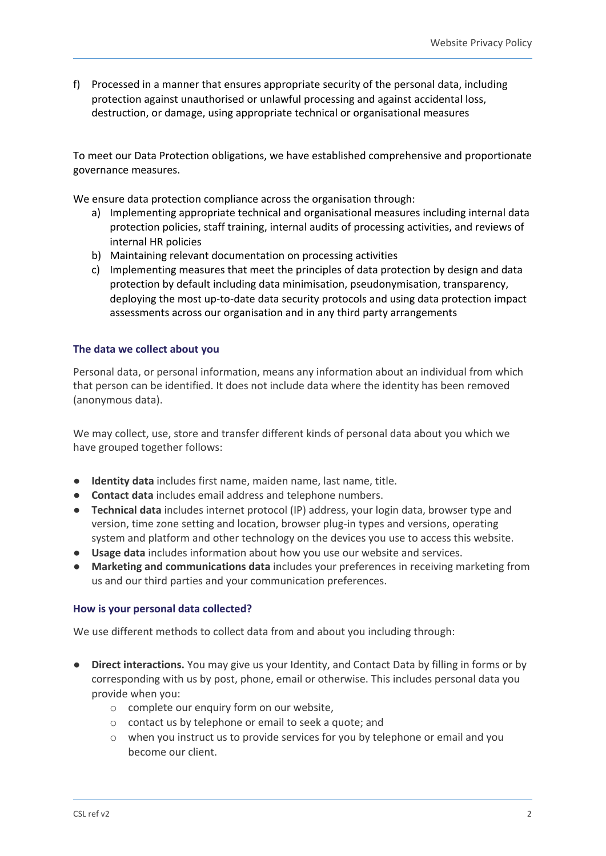f) Processed in a manner that ensures appropriate security of the personal data, including protection against unauthorised or unlawful processing and against accidental loss, destruction, or damage, using appropriate technical or organisational measures

To meet our Data Protection obligations, we have established comprehensive and proportionate governance measures.

We ensure data protection compliance across the organisation through:

- a) Implementing appropriate technical and organisational measures including internal data protection policies, staff training, internal audits of processing activities, and reviews of internal HR policies
- b) Maintaining relevant documentation on processing activities
- c) Implementing measures that meet the principles of data protection by design and data protection by default including data minimisation, pseudonymisation, transparency, deploying the most up-to-date data security protocols and using data protection impact assessments across our organisation and in any third party arrangements

#### **The data we collect about you**

Personal data, or personal information, means any information about an individual from which that person can be identified. It does not include data where the identity has been removed (anonymous data).

We may collect, use, store and transfer different kinds of personal data about you which we have grouped together follows:

- **Identity data** includes first name, maiden name, last name, title.
- **Contact data** includes email address and telephone numbers.
- **Technical data** includes internet protocol (IP) address, your login data, browser type and version, time zone setting and location, browser plug-in types and versions, operating system and platform and other technology on the devices you use to access this website.
- **Usage data** includes information about how you use our website and services.
- **Marketing and communications data** includes your preferences in receiving marketing from us and our third parties and your communication preferences.

#### **How is your personal data collected?**

We use different methods to collect data from and about you including through:

- **Direct interactions.** You may give us your Identity, and Contact Data by filling in forms or by corresponding with us by post, phone, email or otherwise. This includes personal data you provide when you:
	- o complete our enquiry form on our website,
	- o contact us by telephone or email to seek a quote; and
	- o when you instruct us to provide services for you by telephone or email and you become our client.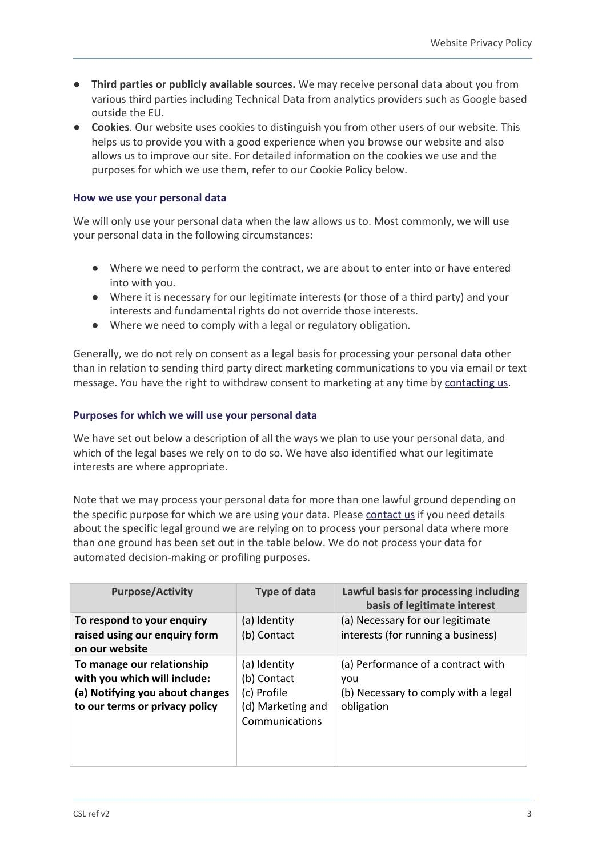- **Third parties or publicly available sources.** We may receive personal data about you from various third parties including Technical Data from analytics providers such as Google based outside the EU.
- **Cookies**. Our website uses cookies to distinguish you from other users of our website. This helps us to provide you with a good experience when you browse our website and also allows us to improve our site. For detailed information on the cookies we use and the purposes for which we use them, refer to our Cookie Policy below.

#### **How we use your personal data**

We will only use your personal data when the law allows us to. Most commonly, we will use your personal data in the following circumstances:

- Where we need to perform the contract, we are about to enter into or have entered into with you.
- Where it is necessary for our legitimate interests (or those of a third party) and your interests and fundamental rights do not override those interests.
- Where we need to comply with a legal or regulatory obligation.

Generally, we do not rely on consent as a legal basis for processing your personal data other than in relation to sending third party direct marketing communications to you via email or text message. You have the right to withdraw consent to marketing at any time by [contacting](https://indigotree.co.uk/contact-us/) us.

## **Purposes for which we will use your personal data**

We have set out below a description of all the ways we plan to use your personal data, and which of the legal bases we rely on to do so. We have also identified what our legitimate interests are where appropriate.

Note that we may process your personal data for more than one lawful ground depending on the specific purpose for which we are using your data. Please [contact](https://indigotree.co.uk/contact-us/) us if you need details about the specific legal ground we are relying on to process your personal data where more than one ground has been set out in the table below. We do not process your data for automated decision-making or profiling purposes.

| <b>Purpose/Activity</b>                                                                                                         | <b>Type of data</b>                                                               | Lawful basis for processing including<br>basis of legitimate interest                           |
|---------------------------------------------------------------------------------------------------------------------------------|-----------------------------------------------------------------------------------|-------------------------------------------------------------------------------------------------|
| To respond to your enquiry<br>raised using our enquiry form<br>on our website                                                   | (a) Identity<br>(b) Contact                                                       | (a) Necessary for our legitimate<br>interests (for running a business)                          |
| To manage our relationship<br>with you which will include:<br>(a) Notifying you about changes<br>to our terms or privacy policy | (a) Identity<br>(b) Contact<br>(c) Profile<br>(d) Marketing and<br>Communications | (a) Performance of a contract with<br>vou<br>(b) Necessary to comply with a legal<br>obligation |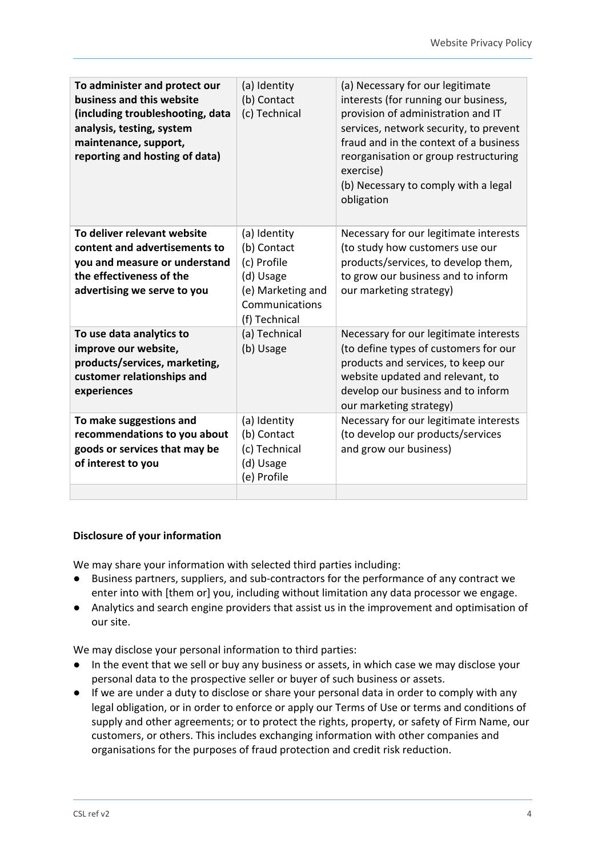| To administer and protect our<br>business and this website<br>(including troubleshooting, data<br>analysis, testing, system<br>maintenance, support,<br>reporting and hosting of data) | (a) Identity<br>(b) Contact<br>(c) Technical                                                                    | (a) Necessary for our legitimate<br>interests (for running our business,<br>provision of administration and IT<br>services, network security, to prevent<br>fraud and in the context of a business<br>reorganisation or group restructuring<br>exercise)<br>(b) Necessary to comply with a legal<br>obligation |
|----------------------------------------------------------------------------------------------------------------------------------------------------------------------------------------|-----------------------------------------------------------------------------------------------------------------|----------------------------------------------------------------------------------------------------------------------------------------------------------------------------------------------------------------------------------------------------------------------------------------------------------------|
| To deliver relevant website<br>content and advertisements to<br>you and measure or understand<br>the effectiveness of the<br>advertising we serve to you                               | (a) Identity<br>(b) Contact<br>(c) Profile<br>(d) Usage<br>(e) Marketing and<br>Communications<br>(f) Technical | Necessary for our legitimate interests<br>(to study how customers use our<br>products/services, to develop them,<br>to grow our business and to inform<br>our marketing strategy)                                                                                                                              |
| To use data analytics to<br>improve our website,<br>products/services, marketing,<br>customer relationships and<br>experiences                                                         | (a) Technical<br>(b) Usage                                                                                      | Necessary for our legitimate interests<br>(to define types of customers for our<br>products and services, to keep our<br>website updated and relevant, to<br>develop our business and to inform<br>our marketing strategy)                                                                                     |
| To make suggestions and<br>recommendations to you about<br>goods or services that may be<br>of interest to you                                                                         | (a) Identity<br>(b) Contact<br>(c) Technical<br>(d) Usage<br>(e) Profile                                        | Necessary for our legitimate interests<br>(to develop our products/services<br>and grow our business)                                                                                                                                                                                                          |
|                                                                                                                                                                                        |                                                                                                                 |                                                                                                                                                                                                                                                                                                                |

## **Disclosure of your information**

We may share your information with selected third parties including:

- Business partners, suppliers, and sub-contractors for the performance of any contract we enter into with [them or] you, including without limitation any data processor we engage.
- Analytics and search engine providers that assist us in the improvement and optimisation of our site.

We may disclose your personal information to third parties:

- In the event that we sell or buy any business or assets, in which case we may disclose your personal data to the prospective seller or buyer of such business or assets.
- If we are under a duty to disclose or share your personal data in order to comply with any legal obligation, or in order to enforce or apply our Terms of Use or terms and conditions of supply and other agreements; or to protect the rights, property, or safety of Firm Name, our customers, or others. This includes exchanging information with other companies and organisations for the purposes of fraud protection and credit risk reduction.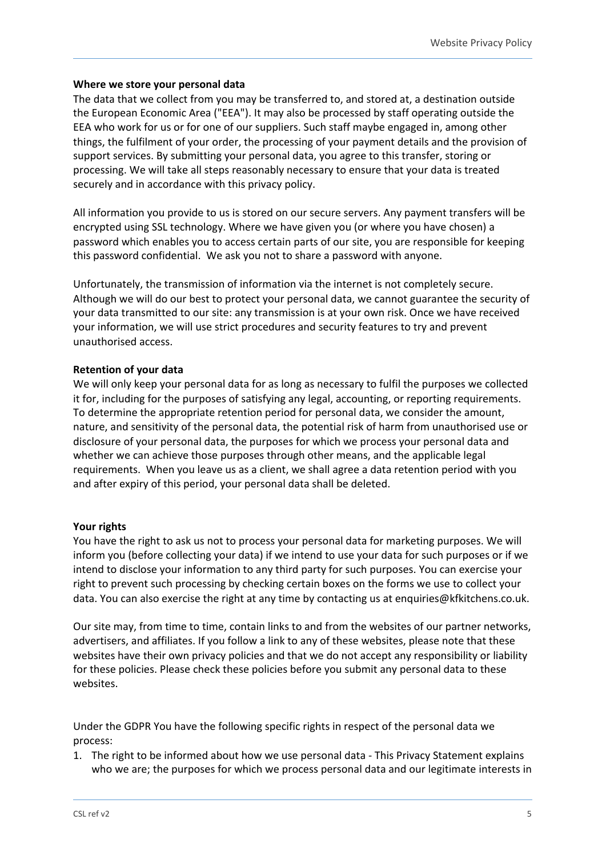## **Where we store your personal data**

The data that we collect from you may be transferred to, and stored at, a destination outside the European Economic Area ("EEA"). It may also be processed by staff operating outside the EEA who work for us or for one of our suppliers. Such staff maybe engaged in, among other things, the fulfilment of your order, the processing of your payment details and the provision of support services. By submitting your personal data, you agree to this transfer, storing or processing. We will take all steps reasonably necessary to ensure that your data is treated securely and in accordance with this privacy policy.

All information you provide to us is stored on our secure servers. Any payment transfers will be encrypted using SSL technology. Where we have given you (or where you have chosen) a password which enables you to access certain parts of our site, you are responsible for keeping this password confidential. We ask you not to share a password with anyone.

Unfortunately, the transmission of information via the internet is not completely secure. Although we will do our best to protect your personal data, we cannot guarantee the security of your data transmitted to our site: any transmission is at your own risk. Once we have received your information, we will use strict procedures and security features to try and prevent unauthorised access.

## **Retention of your data**

We will only keep your personal data for as long as necessary to fulfil the purposes we collected it for, including for the purposes of satisfying any legal, accounting, or reporting requirements. To determine the appropriate retention period for personal data, we consider the amount, nature, and sensitivity of the personal data, the potential risk of harm from unauthorised use or disclosure of your personal data, the purposes for which we process your personal data and whether we can achieve those purposes through other means, and the applicable legal requirements. When you leave us as a client, we shall agree a data retention period with you and after expiry of this period, your personal data shall be deleted.

## **Your rights**

You have the right to ask us not to process your personal data for marketing purposes. We will inform you (before collecting your data) if we intend to use your data for such purposes or if we intend to disclose your information to any third party for such purposes. You can exercise your right to prevent such processing by checking certain boxes on the forms we use to collect your data. You can also exercise the right at any time by contacting us at enquiries@kfkitchens.co.uk.

Our site may, from time to time, contain links to and from the websites of our partner networks, advertisers, and affiliates. If you follow a link to any of these websites, please note that these websites have their own privacy policies and that we do not accept any responsibility or liability for these policies. Please check these policies before you submit any personal data to these websites.

Under the GDPR You have the following specific rights in respect of the personal data we process:

1. The right to be informed about how we use personal data - This Privacy Statement explains who we are; the purposes for which we process personal data and our legitimate interests in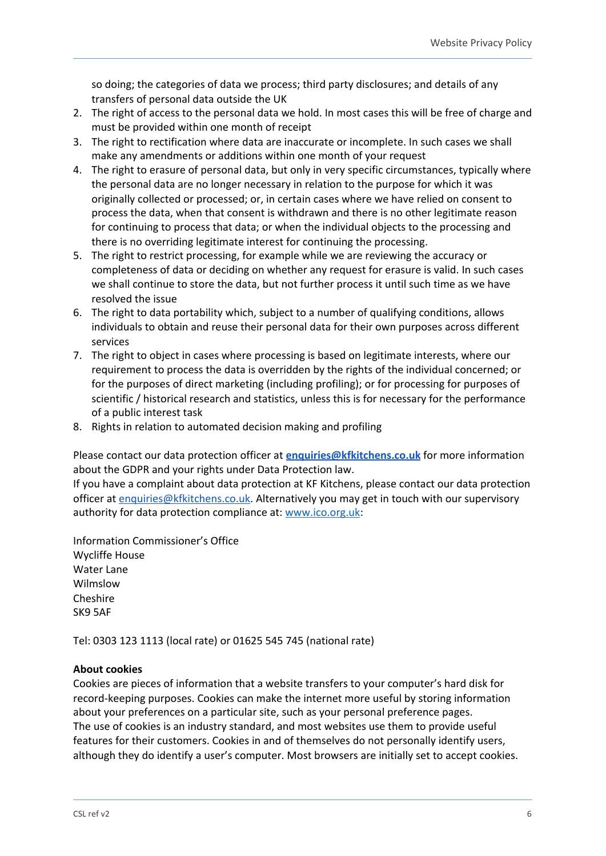so doing; the categories of data we process; third party disclosures; and details of any transfers of personal data outside the UK

- 2. The right of access to the personal data we hold. In most cases this will be free of charge and must be provided within one month of receipt
- 3. The right to rectification where data are inaccurate or incomplete. In such cases we shall make any amendments or additions within one month of your request
- 4. The right to erasure of personal data, but only in very specific circumstances, typically where the personal data are no longer necessary in relation to the purpose for which it was originally collected or processed; or, in certain cases where we have relied on consent to process the data, when that consent is withdrawn and there is no other legitimate reason for continuing to process that data; or when the individual objects to the processing and there is no overriding legitimate interest for continuing the processing.
- 5. The right to restrict processing, for example while we are reviewing the accuracy or completeness of data or deciding on whether any request for erasure is valid. In such cases we shall continue to store the data, but not further process it until such time as we have resolved the issue
- 6. The right to data portability which, subject to a number of qualifying conditions, allows individuals to obtain and reuse their personal data for their own purposes across different services
- 7. The right to object in cases where processing is based on legitimate interests, where our requirement to process the data is overridden by the rights of the individual concerned; or for the purposes of direct marketing (including profiling); or for processing for purposes of scientific / historical research and statistics, unless this is for necessary for the performance of a public interest task
- 8. Rights in relation to automated decision making and profiling

Please contact our data protection officer at **[enquiries@kfkitchens.co.uk](mailto:enquiries@kfkitchens.co.uk)** for more information about the GDPR and your rights under Data Protection law.

If you have a complaint about data protection at KF Kitchens, please contact our data protection officer at [enquiries@kfkitchens.co.uk](mailto:enquiries@kfkitchens.co.uk). Alternatively you may get in touch with our supervisory authority for data protection compliance at: [www.ico.org.uk](http://www.ico.org.uk/):

Information Commissioner's Office Wycliffe House Water Lane Wilmslow Cheshire SK9 5AF

Tel: 0303 123 1113 (local rate) or 01625 545 745 (national rate)

## **About cookies**

Cookies are pieces of information that a website transfers to your computer's hard disk for record-keeping purposes. Cookies can make the internet more useful by storing information about your preferences on a particular site, such as your personal preference pages. The use of cookies is an industry standard, and most websites use them to provide useful features for their customers. Cookies in and of themselves do not personally identify users, although they do identify a user's computer. Most browsers are initially set to accept cookies.